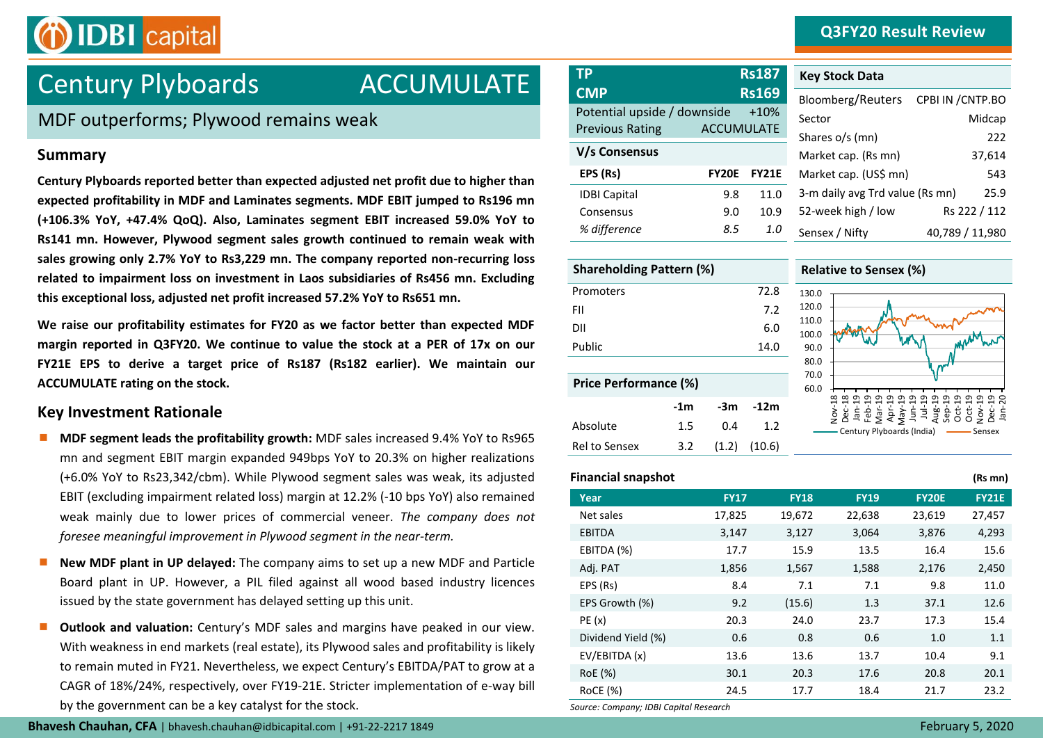# ACCUMULATE **TP Rs187** Century Plyboards **CMP Rs169**

(DBI capital

### MDF outperforms; Plywood remains weak

### **Summary**

**Century Plyboards reported better than expected adjusted net profit due to higher than expected profitability in MDF and Laminates segments. MDF EBIT jumped to Rs196 mn (+106.3% YoY, +47.4% QoQ). Also, Laminates segment EBIT increased 59.0% YoY to Rs141 mn. However, Plywood segment sales growth continued to remain weak with sales growing only 2.7% YoY to Rs3,229 mn. The company reported non-recurring loss related to impairment loss on investment in Laos subsidiaries of Rs456 mn. Excluding this exceptional loss, adjusted net profit increased 57.2% YoY to Rs651 mn.**

**We raise our profitability estimates for FY20 as we factor better than expected MDF margin reported in Q3FY20. We continue to value the stock at a PER of 17x on our FY21E EPS to derive a target price of Rs187 (Rs182 earlier). We maintain our ACCUMULATE rating on the stock.** 

### **Key Investment Rationale**

- **MDF segment leads the profitability growth:** MDF sales increased 9.4% YoY to Rs965 mn and segment EBIT margin expanded 949bps YoY to 20.3% on higher realizations (+6.0% YoY to Rs23,342/cbm). While Plywood segment sales was weak, its adjusted EBIT (excluding impairment related loss) margin at 12.2% (-10 bps YoY) also remained weak mainly due to lower prices of commercial veneer. *The company does not foresee meaningful improvement in Plywood segment in the near-term.*
- **New MDF plant in UP delayed:** The company aims to set up a new MDF and Particle Board plant in UP. However, a PIL filed against all wood based industry licences issued by the state government has delayed setting up this unit.
- **Outlook and valuation:** Century's MDF sales and margins have peaked in our view. With weakness in end markets (real estate), its Plywood sales and profitability is likely to remain muted in FY21. Nevertheless, we expect Century's EBITDA/PAT to grow at a CAGR of 18%/24%, respectively, over FY19-21E. Stricter implementation of e-way bill by the government can be a key catalyst for the stock.

|  | Bhavesh Chauhan, CFA   bhavesh.chauhan@idbicapital.com   +91-22-2217 1849 |  |
|--|---------------------------------------------------------------------------|--|
|--|---------------------------------------------------------------------------|--|

| <b>TP</b>                                             |              | <b>Rs187</b>                | K)       |
|-------------------------------------------------------|--------------|-----------------------------|----------|
| <b>CMP</b>                                            |              | <b>Rs169</b>                | BI       |
| Potential upside / downside<br><b>Previous Rating</b> |              | $+10%$<br><b>ACCUMULATE</b> | Se<br>Sŀ |
| V/s Consensus                                         |              |                             | M        |
| EPS (Rs)                                              | <b>FY20E</b> | <b>FY21E</b>                | M        |
| <b>IDBI Capital</b>                                   | 9.8          | 11.0                        | 3-       |
| Consensus                                             | 9.0          | 10.9                        | 52       |
| % difference                                          | 8.5          | 1.0                         | Se       |

| <b>Key Stock Data</b>           |                   |
|---------------------------------|-------------------|
| Bloomberg/Reuters               | CPBI IN / CNTP.BO |
| Sector                          | Midcap            |
| Shares o/s (mn)                 | 222               |
| Market cap. (Rs mn)             | 37,614            |
| Market cap. (US\$ mn)           | 543               |
| 3-m daily avg Trd value (Rs mn) | 25.9              |
| 52-week high / low              | Rs 222 / 112      |
| Sensex / Nifty                  | 40,789 / 11,980   |

| <b>Shareholding Pattern (%)</b> |       |       |        |  |  |
|---------------------------------|-------|-------|--------|--|--|
| Promoters                       |       |       | 72.8   |  |  |
| FII                             |       |       | 7.2    |  |  |
| DII                             |       |       | 6.0    |  |  |
| Public                          |       |       | 14.0   |  |  |
|                                 |       |       |        |  |  |
| Price Performance (%)           |       |       |        |  |  |
|                                 | $-1m$ | -3m   | $-12m$ |  |  |
| Absolute                        | 1.5   | 0.4   | 1.2    |  |  |
| <b>Rel to Sensex</b>            | 3.2   | (1.2) | (10.6) |  |  |



### **Financial snapshot (Rs mn)**

|                    |             |             |             |              | ,            |
|--------------------|-------------|-------------|-------------|--------------|--------------|
| Year               | <b>FY17</b> | <b>FY18</b> | <b>FY19</b> | <b>FY20E</b> | <b>FY21E</b> |
| Net sales          | 17,825      | 19,672      | 22,638      | 23,619       | 27,457       |
| <b>EBITDA</b>      | 3,147       | 3,127       | 3,064       | 3,876        | 4,293        |
| EBITDA (%)         | 17.7        | 15.9        | 13.5        | 16.4         | 15.6         |
| Adj. PAT           | 1,856       | 1,567       | 1,588       | 2,176        | 2,450        |
| EPS (Rs)           | 8.4         | 7.1         | 7.1         | 9.8          | 11.0         |
| EPS Growth (%)     | 9.2         | (15.6)      | 1.3         | 37.1         | 12.6         |
| PE(x)              | 20.3        | 24.0        | 23.7        | 17.3         | 15.4         |
| Dividend Yield (%) | 0.6         | 0.8         | 0.6         | 1.0          | 1.1          |
| EV/EBITDA (x)      | 13.6        | 13.6        | 13.7        | 10.4         | 9.1          |
| RoE (%)            | 30.1        | 20.3        | 17.6        | 20.8         | 20.1         |
| <b>ROCE (%)</b>    | 24.5        | 17.7        | 18.4        | 21.7         | 23.2         |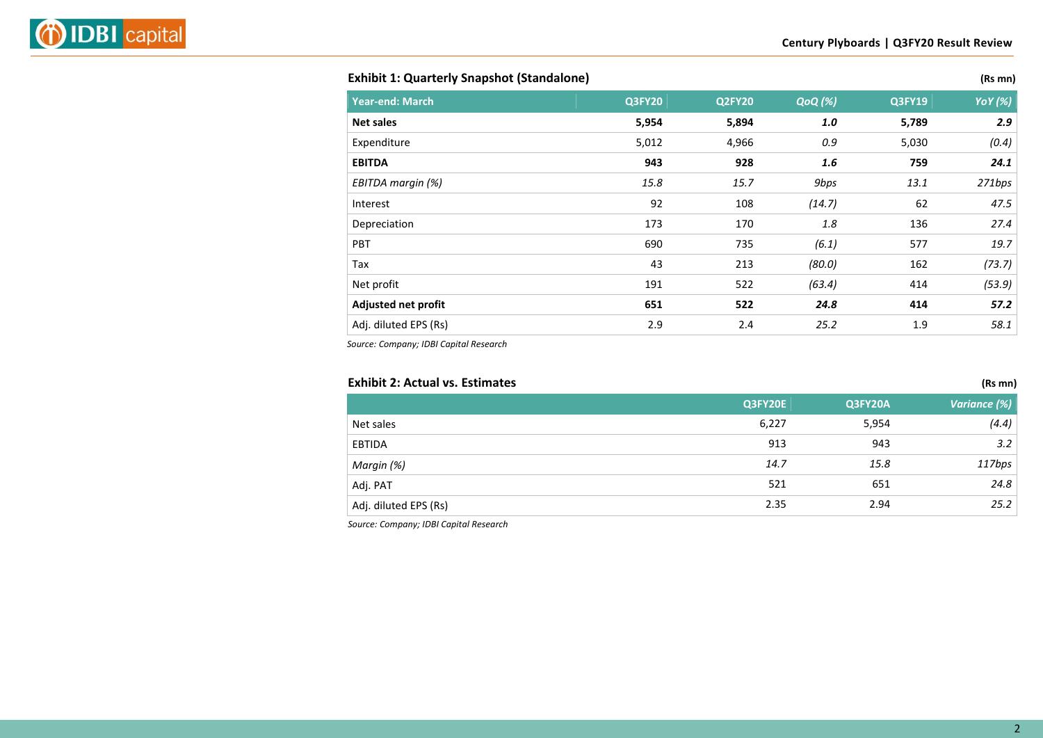| <b>Exhibit 1: Quarterly Snapshot (Standalone)</b> | (Rs mn) |
|---------------------------------------------------|---------|
|---------------------------------------------------|---------|

| <b>Year-end: March</b>     | <b>Q3FY20</b> | <b>Q2FY20</b> | <b>QoQ</b> (%) | <b>Q3FY19</b> | <b>YoY</b> (%) |
|----------------------------|---------------|---------------|----------------|---------------|----------------|
| Net sales                  | 5,954         | 5,894         | 1.0            | 5,789         | 2.9            |
| Expenditure                | 5,012         | 4,966         | 0.9            | 5,030         | (0.4)          |
| <b>EBITDA</b>              | 943           | 928           | 1.6            | 759           | 24.1           |
| EBITDA margin (%)          | 15.8          | 15.7          | 9bps           | 13.1          | 271bps         |
| Interest                   | 92            | 108           | (14.7)         | 62            | 47.5           |
| Depreciation               | 173           | 170           | 1.8            | 136           | 27.4           |
| <b>PBT</b>                 | 690           | 735           | (6.1)          | 577           | 19.7           |
| Tax                        | 43            | 213           | (80.0)         | 162           | (73.7)         |
| Net profit                 | 191           | 522           | (63.4)         | 414           | (53.9)         |
| <b>Adjusted net profit</b> | 651           | 522           | 24.8           | 414           | 57.2           |
| Adj. diluted EPS (Rs)      | 2.9           | 2.4           | 25.2           | 1.9           | 58.1           |

*Source: Company; IDBI Capital Research*

### **Exhibit 2: Actual vs. Estimates (Rs mn)**

|                       | Q3FY20E | Q3FY20A | Variance (%) |
|-----------------------|---------|---------|--------------|
| Net sales             | 6,227   | 5,954   | (4.4)        |
| EBTIDA                | 913     | 943     | 3.2          |
| Margin (%)            | 14.7    | 15.8    | 117bps       |
| Adj. PAT              | 521     | 651     | 24.8         |
| Adj. diluted EPS (Rs) | 2.35    | 2.94    | 25.2         |
|                       |         |         |              |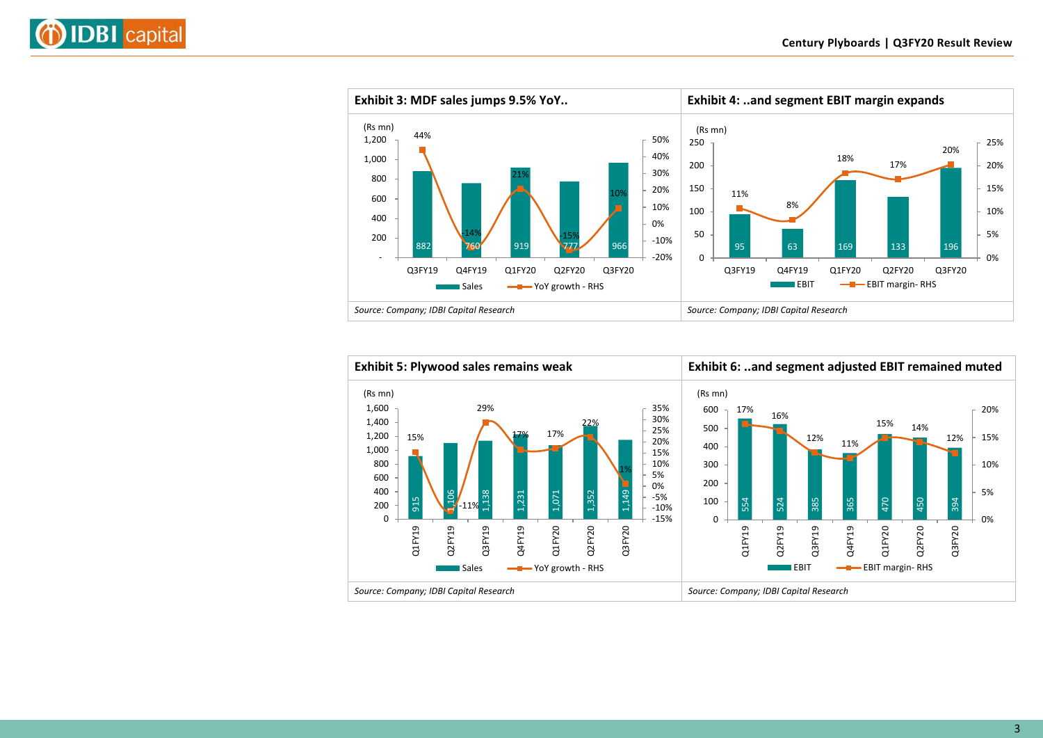



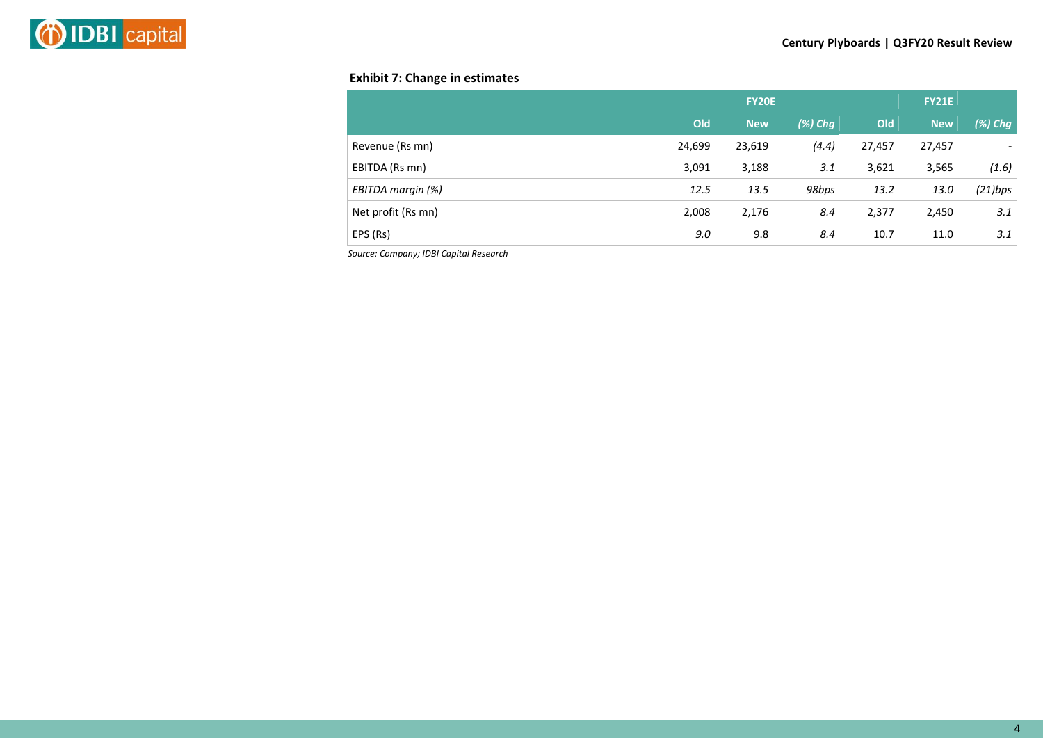### **Exhibit 7: Change in estimates**

|                    | <b>FY20E</b> |            |            | <b>FY21E</b> |            |                          |
|--------------------|--------------|------------|------------|--------------|------------|--------------------------|
|                    | Old          | <b>New</b> | $(\%)$ Chg | Old          | <b>New</b> | $(\%)$ Chg               |
| Revenue (Rs mn)    | 24,699       | 23,619     | (4.4)      | 27,457       | 27,457     | $\overline{\phantom{a}}$ |
| EBITDA (Rs mn)     | 3,091        | 3,188      | 3.1        | 3,621        | 3,565      | (1.6)                    |
| EBITDA margin (%)  | 12.5         | 13.5       | 98bps      | 13.2         | 13.0       | $(21)$ bps               |
| Net profit (Rs mn) | 2,008        | 2,176      | 8.4        | 2,377        | 2,450      | 3.1                      |
| EPS (Rs)           | 9.0          | 9.8        | 8.4        | 10.7         | 11.0       | 3.1                      |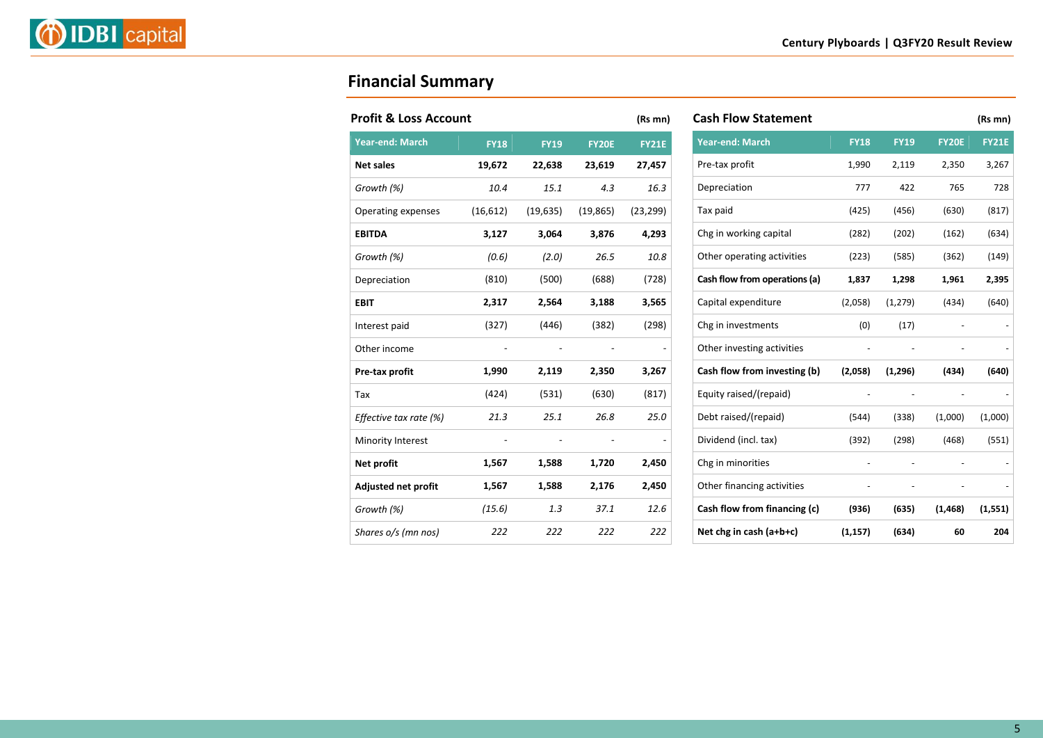## **Financial Summary**

| <b>Profit &amp; Loss Account</b> |             |             |              | (Rs mn)      |
|----------------------------------|-------------|-------------|--------------|--------------|
| <b>Year-end: March</b>           | <b>FY18</b> | <b>FY19</b> | <b>FY20E</b> | <b>FY21E</b> |
| <b>Net sales</b>                 | 19,672      | 22,638      | 23,619       | 27,457       |
| Growth (%)                       | 10.4        | 15.1        | 4.3          | 16.3         |
| Operating expenses               | (16, 612)   | (19, 635)   | (19, 865)    | (23, 299)    |
| <b>EBITDA</b>                    | 3,127       | 3,064       | 3,876        | 4,293        |
| Growth (%)                       | (0.6)       | (2.0)       | 26.5         | 10.8         |
| Depreciation                     | (810)       | (500)       | (688)        | (728)        |
| <b>EBIT</b>                      | 2,317       | 2,564       | 3,188        | 3,565        |
| Interest paid                    | (327)       | (446)       | (382)        | (298)        |
| Other income                     |             |             |              |              |
| Pre-tax profit                   | 1,990       | 2,119       | 2,350        | 3,267        |
| Tax                              | (424)       | (531)       | (630)        | (817)        |
| Effective tax rate (%)           | 21.3        | 25.1        | 26.8         | 25.0         |
| Minority Interest                |             |             |              |              |
| Net profit                       | 1,567       | 1,588       | 1,720        | 2,450        |
| <b>Adjusted net profit</b>       | 1,567       | 1,588       | 2,176        | 2,450        |
| Growth (%)                       | (15.6)      | 1.3         | 37.1         | 12.6         |
| Shares o/s (mn nos)              | 222         | 222         | 222          | 222          |

| <b>Cash Flow Statement</b>    |             |             |                              | (Rs mn)      |
|-------------------------------|-------------|-------------|------------------------------|--------------|
| <b>Year-end: March</b>        | <b>FY18</b> | <b>FY19</b> | <b>FY20E</b>                 | <b>FY21E</b> |
| Pre-tax profit                | 1,990       | 2,119       | 2,350                        | 3,267        |
| Depreciation                  | 777         | 422         | 765                          | 728          |
| Tax paid                      | (425)       | (456)       | (630)                        | (817)        |
| Chg in working capital        | (282)       | (202)       | (162)                        | (634)        |
| Other operating activities    | (223)       | (585)       | (362)                        | (149)        |
| Cash flow from operations (a) | 1,837       | 1,298       | 1,961                        | 2,395        |
| Capital expenditure           | (2,058)     | (1, 279)    | (434)                        | (640)        |
| Chg in investments            | (0)         | (17)        |                              |              |
| Other investing activities    |             |             |                              |              |
| Cash flow from investing (b)  | (2,058)     | (1, 296)    | (434)                        | (640)        |
| Equity raised/(repaid)        |             |             |                              |              |
| Debt raised/(repaid)          | (544)       | (338)       | (1,000)                      | (1,000)      |
| Dividend (incl. tax)          | (392)       | (298)       | (468)                        | (551)        |
| Chg in minorities             |             |             | $\overline{\phantom{a}}$     |              |
| Other financing activities    |             |             | $\qquad \qquad \blacksquare$ |              |
| Cash flow from financing (c)  | (936)       | (635)       | (1, 468)                     | (1, 551)     |
| Net chg in cash (a+b+c)       | (1, 157)    | (634)       | 60                           | 204          |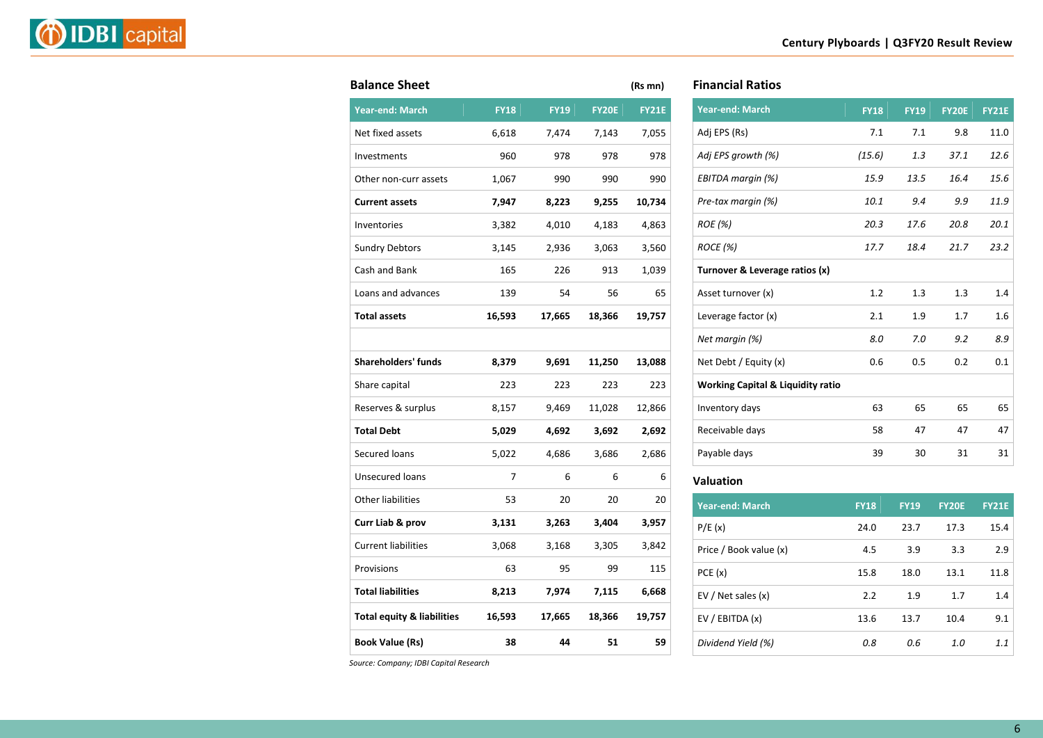

| <b>Balance Sheet</b>                  |             |             |              | (Rs mn)      |
|---------------------------------------|-------------|-------------|--------------|--------------|
| <b>Year-end: March</b>                | <b>FY18</b> | <b>FY19</b> | <b>FY20E</b> | <b>FY21E</b> |
| Net fixed assets                      | 6,618       | 7,474       | 7,143        | 7,055        |
| Investments                           | 960         | 978         | 978          | 978          |
| Other non-curr assets                 | 1,067       | 990         | 990          | 990          |
| <b>Current assets</b>                 | 7,947       | 8,223       | 9,255        | 10,734       |
| Inventories                           | 3,382       | 4,010       | 4,183        | 4,863        |
| <b>Sundry Debtors</b>                 | 3,145       | 2,936       | 3,063        | 3,560        |
| Cash and Bank                         | 165         | 226         | 913          | 1,039        |
| Loans and advances                    | 139         | 54          | 56           | 65           |
| <b>Total assets</b>                   | 16,593      | 17,665      | 18,366       | 19,757       |
|                                       |             |             |              |              |
| <b>Shareholders' funds</b>            | 8,379       | 9,691       | 11,250       | 13,088       |
| Share capital                         | 223         | 223         | 223          | 223          |
| Reserves & surplus                    | 8,157       | 9,469       | 11,028       | 12,866       |
| <b>Total Debt</b>                     | 5,029       | 4,692       | 3,692        | 2,692        |
| Secured loans                         | 5,022       | 4,686       | 3,686        | 2,686        |
| <b>Unsecured loans</b>                | 7           | 6           | 6            | 6            |
| <b>Other liabilities</b>              | 53          | 20          | 20           | 20           |
| Curr Liab & prov                      | 3,131       | 3,263       | 3,404        | 3,957        |
| <b>Current liabilities</b>            | 3,068       | 3,168       | 3,305        | 3,842        |
| Provisions                            | 63          | 95          | 99           | 115          |
| <b>Total liabilities</b>              | 8,213       | 7,974       | 7,115        | 6,668        |
| <b>Total equity &amp; liabilities</b> | 16,593      | 17,665      | 18,366       | 19,757       |
| <b>Book Value (Rs)</b>                | 38          | 44          | 51           | 59           |

| <b>Financial Ratios</b> |  |
|-------------------------|--|
|-------------------------|--|

| <b>Year-end: March</b>                       | <b>FY18</b> | <b>FY19</b> | <b>FY20E</b> | <b>FY21E</b> |
|----------------------------------------------|-------------|-------------|--------------|--------------|
| Adj EPS (Rs)                                 | 7.1         | 7.1         | 9.8          | 11.0         |
| Adj EPS growth (%)                           | (15.6)      | 1.3         | 37.1         | 12.6         |
| EBITDA margin (%)                            | 15.9        | 13.5        | 16.4         | 15.6         |
| Pre-tax margin (%)                           | 10.1        | 9.4         | 9.9          | 11.9         |
| ROE (%)                                      | 20.3        | 17.6        | 20.8         | 20.1         |
| ROCE (%)                                     | 17.7        | 18.4        | 21.7         | 23.2         |
| Turnover & Leverage ratios (x)               |             |             |              |              |
| Asset turnover (x)                           | 1.2         | 1.3         | 1.3          | 1.4          |
| Leverage factor (x)                          | 2.1         | 1.9         | 1.7          | 1.6          |
| Net margin (%)                               | 8.0         | 7.0         | 9.2          | 8.9          |
| Net Debt / Equity (x)                        | 0.6         | 0.5         | 0.2          | 0.1          |
| <b>Working Capital &amp; Liquidity ratio</b> |             |             |              |              |
| Inventory days                               | 63          | 65          | 65           | 65           |
| Receivable days                              | 58          | 47          | 47           | 47           |
| Payable days                                 | 39          | 30          | 31           | 31           |
|                                              |             |             |              |              |

### **Valuation**

| <b>Year-end: March</b> | <b>FY18</b> | <b>FY19</b> | <b>FY20E</b> | <b>FY21E</b> |
|------------------------|-------------|-------------|--------------|--------------|
| P/E(x)                 | 24.0        | 23.7        | 17.3         | 15.4         |
| Price / Book value (x) | 4.5         | 3.9         | 3.3          | 2.9          |
| PCE(x)                 | 15.8        | 18.0        | 13.1         | 11.8         |
| EV / Net sales $(x)$   | 2.2         | 1.9         | 1.7          | 1.4          |
| EV / EBITDA (x)        | 13.6        | 13.7        | 10.4         | 9.1          |
| Dividend Yield (%)     | 0.8         | 0.6         | 1.0          | 1.1          |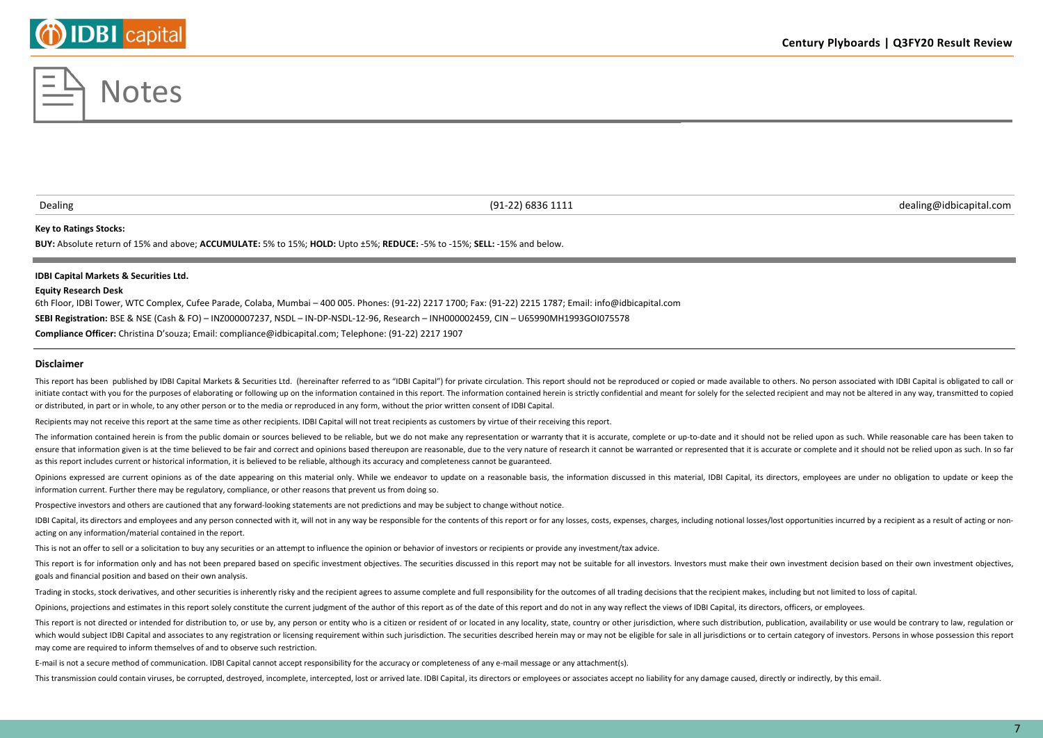### **Key to Ratings Stocks:**

**BUY:** Absolute return of 15% and above; **ACCUMULATE:** 5% to 15%; **HOLD:** Upto ±5%; **REDUCE:** -5% to -15%; **SELL:** -15% and below.

### **IDBI Capital Markets & Securities Ltd.**

### **Equity Research Desk**

6th Floor, IDBI Tower, WTC Complex, Cufee Parade, Colaba, Mumbai – 400 005. Phones: (91-22) 2217 1700; Fax: (91-22) 2215 1787; Email: info@idbicapital.com **SEBI Registration:** BSE & NSE (Cash & FO) – INZ000007237, NSDL – IN-DP-NSDL-12-96, Research – INH000002459, CIN – U65990MH1993GOI075578 **Compliance Officer:** Christina D'souza; Email: compliance@idbicapital.com; Telephone: (91-22) 2217 1907

### **Disclaimer**

This report has been published by IDBI Capital Markets & Securities Ltd. (hereinafter referred to as "IDBI Capital") for private circulation. This report should not be reproduced or copied or made available to others. No p initiate contact with you for the purposes of elaborating or following up on the information contained in this report. The information contained herein is strictly confidential and meant for solely for the selected recipie or distributed, in part or in whole, to any other person or to the media or reproduced in any form, without the prior written consent of IDBI Capital.

Recipients may not receive this report at the same time as other recipients. IDBI Capital will not treat recipients as customers by virtue of their receiving this report.

The information contained herein is from the public domain or sources believed to be reliable, but we do not make any representation or warranty that it is accurate, complete or up-to-date and it should not be relied upon ensure that information given is at the time believed to be fair and correct and opinions based thereupon are reasonable, due to the very nature of research it cannot be warranted or represented that it is accurate or comp as this report includes current or historical information, it is believed to be reliable, although its accuracy and completeness cannot be guaranteed.

Opinions expressed are current opinions as of the date appearing on this material only. While we endeavor to update on a reasonable basis, the information discussed in this material, IDBI Capital, its directors, employees information current. Further there may be regulatory, compliance, or other reasons that prevent us from doing so.

Prospective investors and others are cautioned that any forward-looking statements are not predictions and may be subject to change without notice.

IDBI Capital, its directors and employees and any person connected with it, will not in any way be responsible for the contents of this report or for any losses, costs, expenses, charges, including notional losses/lost opp acting on any information/material contained in the report.

This is not an offer to sell or a solicitation to buy any securities or an attempt to influence the opinion or behavior of investors or recipients or provide any investment/tax advice.

This report is for information only and has not been prepared based on specific investment objectives. The securities discussed in this report may not be suitable for all investors. Investors must make their own investment goals and financial position and based on their own analysis.

Trading in stocks, stock derivatives, and other securities is inherently risky and the recipient agrees to assume complete and full responsibility for the outcomes of all trading decisions that the recipient makes, includi

Opinions, projections and estimates in this report solely constitute the current judgment of the author of this report as of the date of this report and do not in any way reflect the views of IDBI Capital, its directors, o

This report is not directed or intended for distribution to, or use by, any person or entity who is a citizen or resident of or located in any locality, state, country or other jurisdiction, where such distribution, public which would subject IDBI Capital and associates to any registration or licensing requirement within such jurisdiction. The securities described herein may or may not be eligible for sale in all jurisdictions or to certain may come are required to inform themselves of and to observe such restriction.

E-mail is not a secure method of communication. IDBI Capital cannot accept responsibility for the accuracy or completeness of any e-mail message or any attachment(s).

This transmission could contain viruses, be corrupted, destroved, incomplete, intercepted, lost or arrived late. IDBI Capital, its directors or employees or associates accept no liability for any damage caused, directly or



Dealing (91-22) 6836 1111 dealing@idbicapital.com